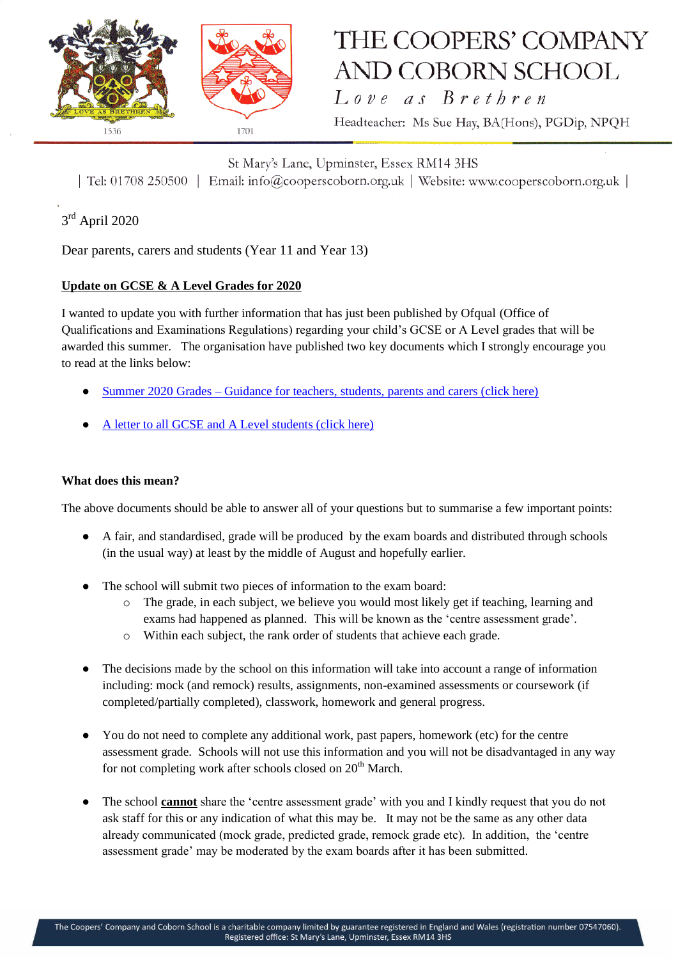

# THE COOPERS' COMPANY AND COBORN SCHOOL

Love as Brethren

Headteacher: Ms Sue Hay, BA(Hons), PGDip, NPQH

St Mary's Lane, Upminster, Essex RM14 3HS | Tel: 01708 250500 | Email: info@cooperscoborn.org.uk | Website: www.cooperscoborn.org.uk |

### 3<sup>rd</sup> April 2020

Dear parents, carers and students (Year 11 and Year 13)

#### **Update on GCSE & A Level Grades for 2020**

I wanted to update you with further information that has just been published by Ofqual (Office of Qualifications and Examinations Regulations) regarding your child's GCSE or A Level grades that will be awarded this summer. The organisation have published two key documents which I strongly encourage you to read at the links below:

- Summer 2020 Grades [Guidance for teachers, students, parents and carers \(click here\)](https://assets.publishing.service.gov.uk/government/uploads/system/uploads/attachment_data/file/877842/Summer_2020_grades_for_GCSE_AS_A_level_EPQ_AEA_in_maths_-_guidance_for_teachers_students_parents.pdf)
- [A letter to all GCSE and A Level students \(click here\)](https://assets.publishing.service.gov.uk/government/uploads/system/uploads/attachment_data/file/877830/Letter_to_students_-_Summer_2020_grading.pdf)

#### **What does this mean?**

The above documents should be able to answer all of your questions but to summarise a few important points:

- A fair, and standardised, grade will be produced by the exam boards and distributed through schools (in the usual way) at least by the middle of August and hopefully earlier.
- The school will submit two pieces of information to the exam board:
	- o The grade, in each subject, we believe you would most likely get if teaching, learning and exams had happened as planned. This will be known as the 'centre assessment grade'.
	- o Within each subject, the rank order of students that achieve each grade.
- The decisions made by the school on this information will take into account a range of information including: mock (and remock) results, assignments, non-examined assessments or coursework (if completed/partially completed), classwork, homework and general progress.
- You do not need to complete any additional work, past papers, homework (etc) for the centre assessment grade. Schools will not use this information and you will not be disadvantaged in any way for not completing work after schools closed on  $20<sup>th</sup>$  March.
- The school **cannot** share the 'centre assessment grade' with you and I kindly request that you do not ask staff for this or any indication of what this may be. It may not be the same as any other data already communicated (mock grade, predicted grade, remock grade etc). In addition, the 'centre assessment grade' may be moderated by the exam boards after it has been submitted.